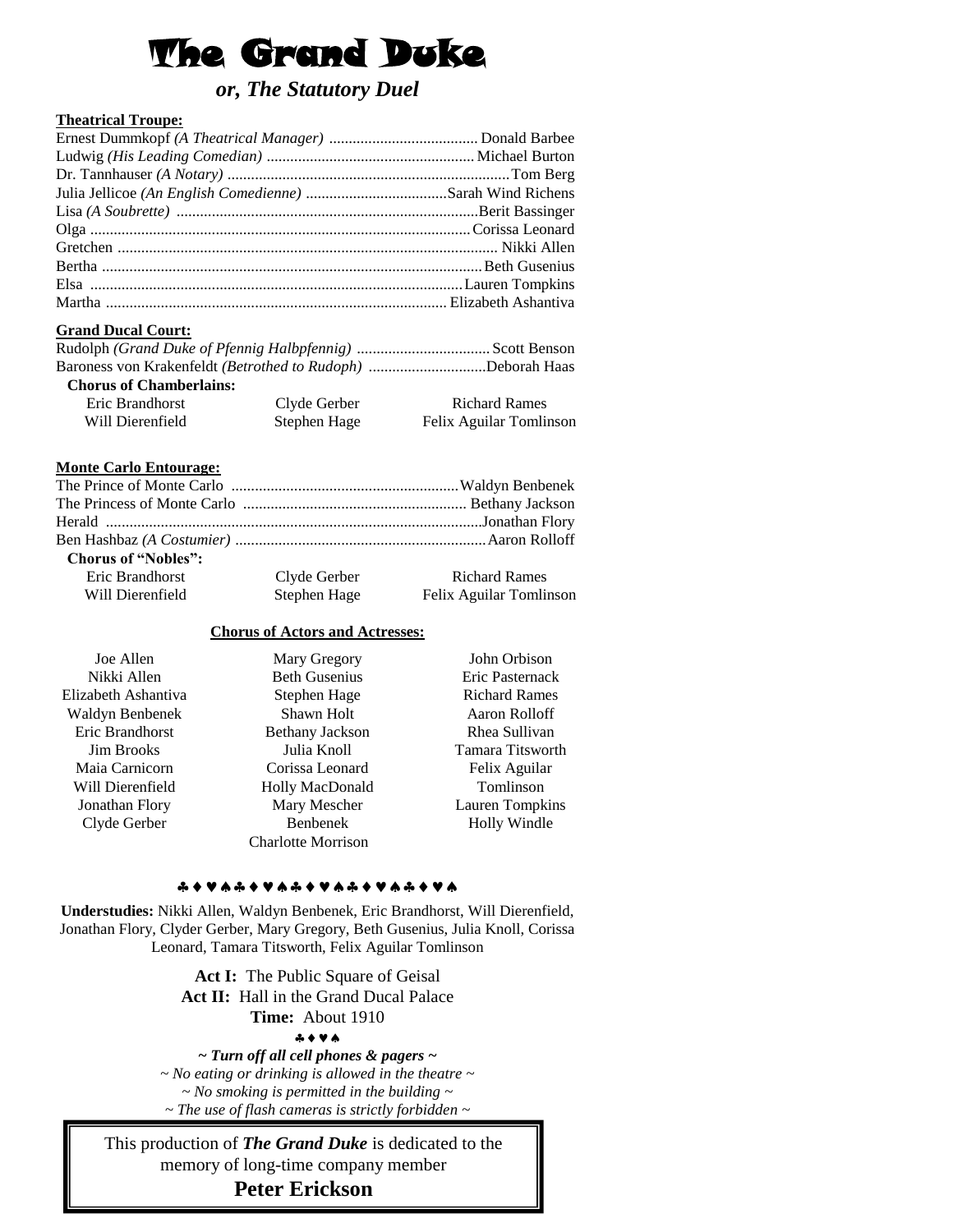# The Grand Duke

# *or, The Statutory Duel*

# **Theatrical Troupe:**

# **Grand Ducal Court:**

| Baroness von Krakenfeldt (Betrothed to Rudoph) Deborah Haas |  |
|-------------------------------------------------------------|--|

| <b>Chorus of Chamberlains:</b> |              |                         |
|--------------------------------|--------------|-------------------------|
| Eric Brandhorst                | Clyde Gerber | <b>Richard Rames</b>    |
| Will Dierenfield               | Stephen Hage | Felix Aguilar Tomlinson |

# **Monte Carlo Entourage:**

| <b>Chorus of "Nobles":</b> |              |                         |
|----------------------------|--------------|-------------------------|
| Eric Brandhorst            | Clyde Gerber | <b>Richard Rames</b>    |
| Will Dierenfield           | Stephen Hage | Felix Aguilar Tomlinson |
|                            |              |                         |

### **Chorus of Actors and Actresses:**

Joe Allen Nikki Allen Elizabeth Ashantiva Waldyn Benbenek Eric Brandhorst Jim Brooks Maia Carnicorn Will Dierenfield Jonathan Flory Clyde Gerber

Mary Gregory Beth Gusenius Stephen Hage Shawn Holt Bethany Jackson Julia Knoll Corissa Leonard Holly MacDonald Mary Mescher Benbenek Charlotte Morrison

Eric Pasternack Richard Rames Aaron Rolloff Rhea Sullivan Tamara Titsworth Felix Aguilar Tomlinson Lauren Tompkins Holly Windle

John Orbison

#### \* \* \* \* \* \* \* \* \* \* \* \* \* \* \* \* \* \* \*

**Understudies:** Nikki Allen, Waldyn Benbenek, Eric Brandhorst, Will Dierenfield, Jonathan Flory, Clyder Gerber, Mary Gregory, Beth Gusenius, Julia Knoll, Corissa Leonard, Tamara Titsworth, Felix Aguilar Tomlinson

> Act I: The Public Square of Geisal **Act II:** Hall in the Grand Ducal Palace **Time:** About 1910

#### $A + V A$

*~ Turn off all cell phones & pagers ~ ~ No eating or drinking is allowed in the theatre ~ ~ No smoking is permitted in the building ~ ~ The use of flash cameras is strictly forbidden ~*

This production of *The Grand Duke* is dedicated to the memory of long-time company member **Peter Erickson**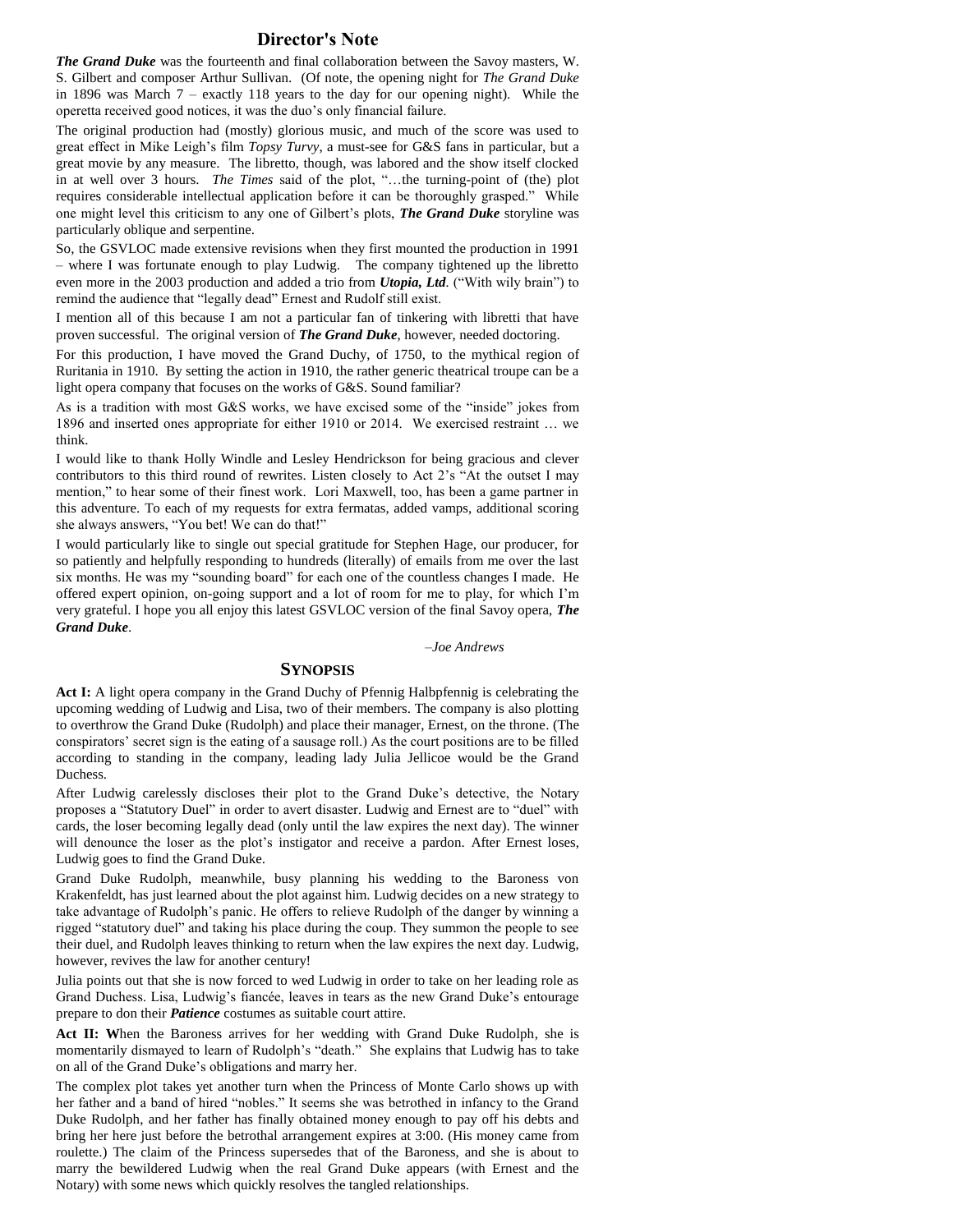#### **Director's Note**

*The Grand Duke* was the fourteenth and final collaboration between the Savoy masters, W. S. Gilbert and composer Arthur Sullivan. (Of note, the opening night for *The Grand Duke* in 1896 was March  $7$  – exactly 118 years to the day for our opening night). While the operetta received good notices, it was the duo's only financial failure.

The original production had (mostly) glorious music, and much of the score was used to great effect in Mike Leigh's film *Topsy Turvy*, a must-see for G&S fans in particular, but a great movie by any measure. The libretto, though, was labored and the show itself clocked in at well over 3 hours. *The Times* said of the plot, "…the turning-point of (the) plot requires considerable intellectual application before it can be thoroughly grasped." While one might level this criticism to any one of Gilbert's plots, *The Grand Duke* storyline was particularly oblique and serpentine.

So, the GSVLOC made extensive revisions when they first mounted the production in 1991 – where I was fortunate enough to play Ludwig. The company tightened up the libretto even more in the 2003 production and added a trio from *Utopia, Ltd.* ("With wily brain") to remind the audience that "legally dead" Ernest and Rudolf still exist.

I mention all of this because I am not a particular fan of tinkering with libretti that have proven successful. The original version of *The Grand Duke*, however, needed doctoring.

For this production, I have moved the Grand Duchy, of 1750, to the mythical region of Ruritania in 1910. By setting the action in 1910, the rather generic theatrical troupe can be a light opera company that focuses on the works of G&S. Sound familiar?

As is a tradition with most G&S works, we have excised some of the "inside" jokes from 1896 and inserted ones appropriate for either 1910 or 2014. We exercised restraint … we think.

I would like to thank Holly Windle and Lesley Hendrickson for being gracious and clever contributors to this third round of rewrites. Listen closely to Act 2's "At the outset I may mention," to hear some of their finest work. Lori Maxwell, too, has been a game partner in this adventure. To each of my requests for extra fermatas, added vamps, additional scoring she always answers, "You bet! We can do that!"

I would particularly like to single out special gratitude for Stephen Hage, our producer, for so patiently and helpfully responding to hundreds (literally) of emails from me over the last six months. He was my "sounding board" for each one of the countless changes I made. He offered expert opinion, on-going support and a lot of room for me to play, for which I'm very grateful. I hope you all enjoy this latest GSVLOC version of the final Savoy opera, *The Grand Duke*.

*–Joe Andrews*

#### **SYNOPSIS**

Act I: A light opera company in the Grand Duchy of Pfennig Halbpfennig is celebrating the upcoming wedding of Ludwig and Lisa, two of their members. The company is also plotting to overthrow the Grand Duke (Rudolph) and place their manager, Ernest, on the throne. (The conspirators' secret sign is the eating of a sausage roll.) As the court positions are to be filled according to standing in the company, leading lady Julia Jellicoe would be the Grand Duchess.

After Ludwig carelessly discloses their plot to the Grand Duke's detective, the Notary proposes a "Statutory Duel" in order to avert disaster. Ludwig and Ernest are to "duel" with cards, the loser becoming legally dead (only until the law expires the next day). The winner will denounce the loser as the plot's instigator and receive a pardon. After Ernest loses, Ludwig goes to find the Grand Duke.

Grand Duke Rudolph, meanwhile, busy planning his wedding to the Baroness von Krakenfeldt, has just learned about the plot against him. Ludwig decides on a new strategy to take advantage of Rudolph's panic. He offers to relieve Rudolph of the danger by winning a rigged "statutory duel" and taking his place during the coup. They summon the people to see their duel, and Rudolph leaves thinking to return when the law expires the next day. Ludwig, however, revives the law for another century!

Julia points out that she is now forced to wed Ludwig in order to take on her leading role as Grand Duchess. Lisa, Ludwig's fiancée, leaves in tears as the new Grand Duke's entourage prepare to don their *Patience* costumes as suitable court attire.

**Act II: W**hen the Baroness arrives for her wedding with Grand Duke Rudolph, she is momentarily dismayed to learn of Rudolph's "death." She explains that Ludwig has to take on all of the Grand Duke's obligations and marry her.

The complex plot takes yet another turn when the Princess of Monte Carlo shows up with her father and a band of hired "nobles." It seems she was betrothed in infancy to the Grand Duke Rudolph, and her father has finally obtained money enough to pay off his debts and bring her here just before the betrothal arrangement expires at 3:00. (His money came from roulette.) The claim of the Princess supersedes that of the Baroness, and she is about to marry the bewildered Ludwig when the real Grand Duke appears (with Ernest and the Notary) with some news which quickly resolves the tangled relationships.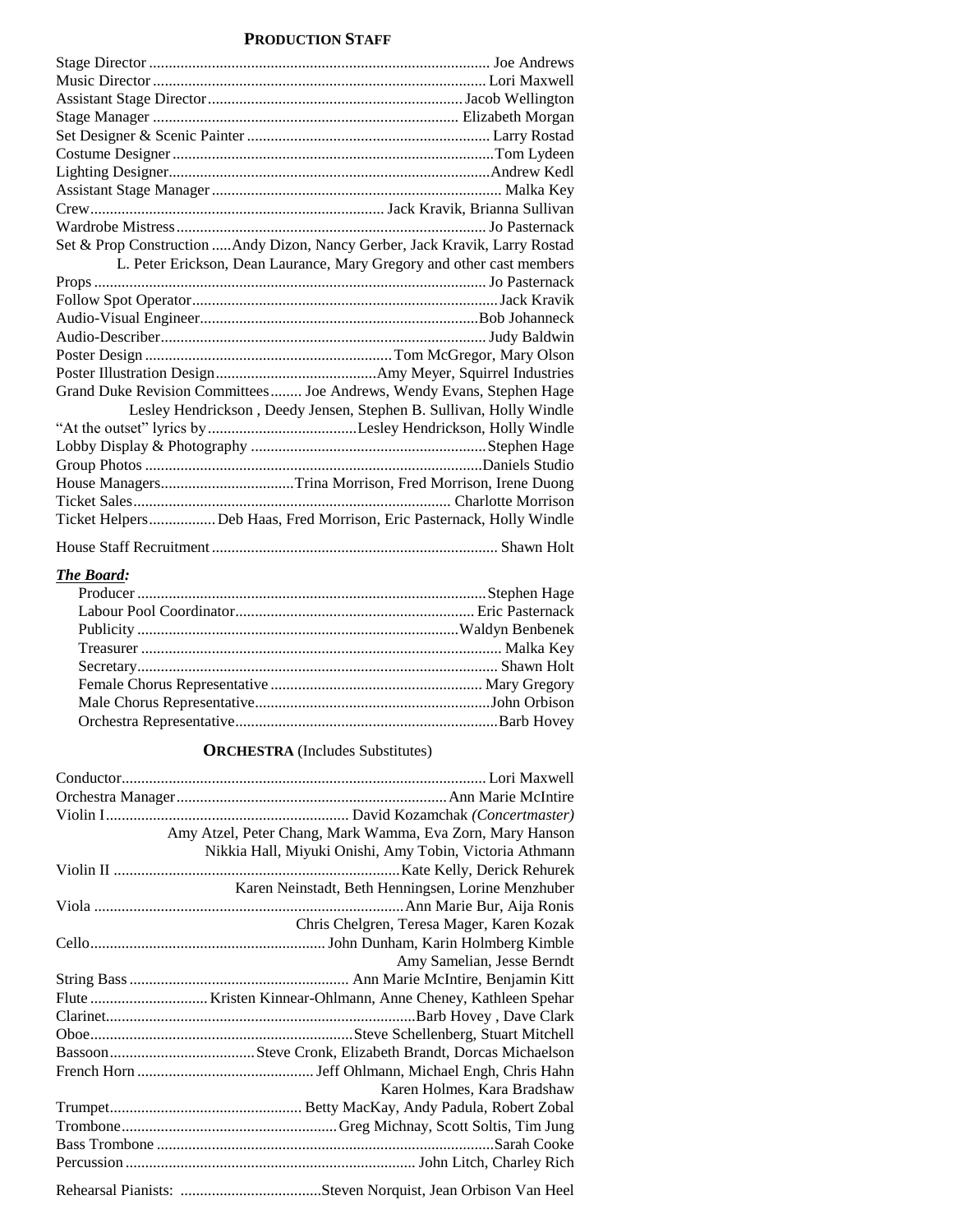# **PRODUCTION STAFF**

| Set & Prop Construction  Andy Dizon, Nancy Gerber, Jack Kravik, Larry Rostad |
|------------------------------------------------------------------------------|
| L. Peter Erickson, Dean Laurance, Mary Gregory and other cast members        |
|                                                                              |
|                                                                              |
|                                                                              |
|                                                                              |
|                                                                              |
|                                                                              |
| Grand Duke Revision Committees  Joe Andrews, Wendy Evans, Stephen Hage       |
| Lesley Hendrickson, Deedy Jensen, Stephen B. Sullivan, Holly Windle          |
|                                                                              |
|                                                                              |
|                                                                              |
| House ManagersTrina Morrison, Fred Morrison, Irene Duong                     |
|                                                                              |
| Ticket HelpersDeb Haas, Fred Morrison, Eric Pasternack, Holly Windle         |
|                                                                              |

| 110use bulli Rechtillien |  |  |  |  |
|--------------------------|--|--|--|--|
|                          |  |  |  |  |
|                          |  |  |  |  |

# *The Board:*

# **ORCHESTRA** (Includes Substitutes)

| Amy Atzel, Peter Chang, Mark Wamma, Eva Zorn, Mary Hanson |
|-----------------------------------------------------------|
| Nikkia Hall, Miyuki Onishi, Amy Tobin, Victoria Athmann   |
|                                                           |
| Karen Neinstadt, Beth Henningsen, Lorine Menzhuber        |
|                                                           |
| Chris Chelgren, Teresa Mager, Karen Kozak                 |
|                                                           |
| Amy Samelian, Jesse Berndt                                |
|                                                           |
|                                                           |
|                                                           |
|                                                           |
|                                                           |
|                                                           |
| Karen Holmes, Kara Bradshaw                               |
|                                                           |
|                                                           |
|                                                           |
|                                                           |
|                                                           |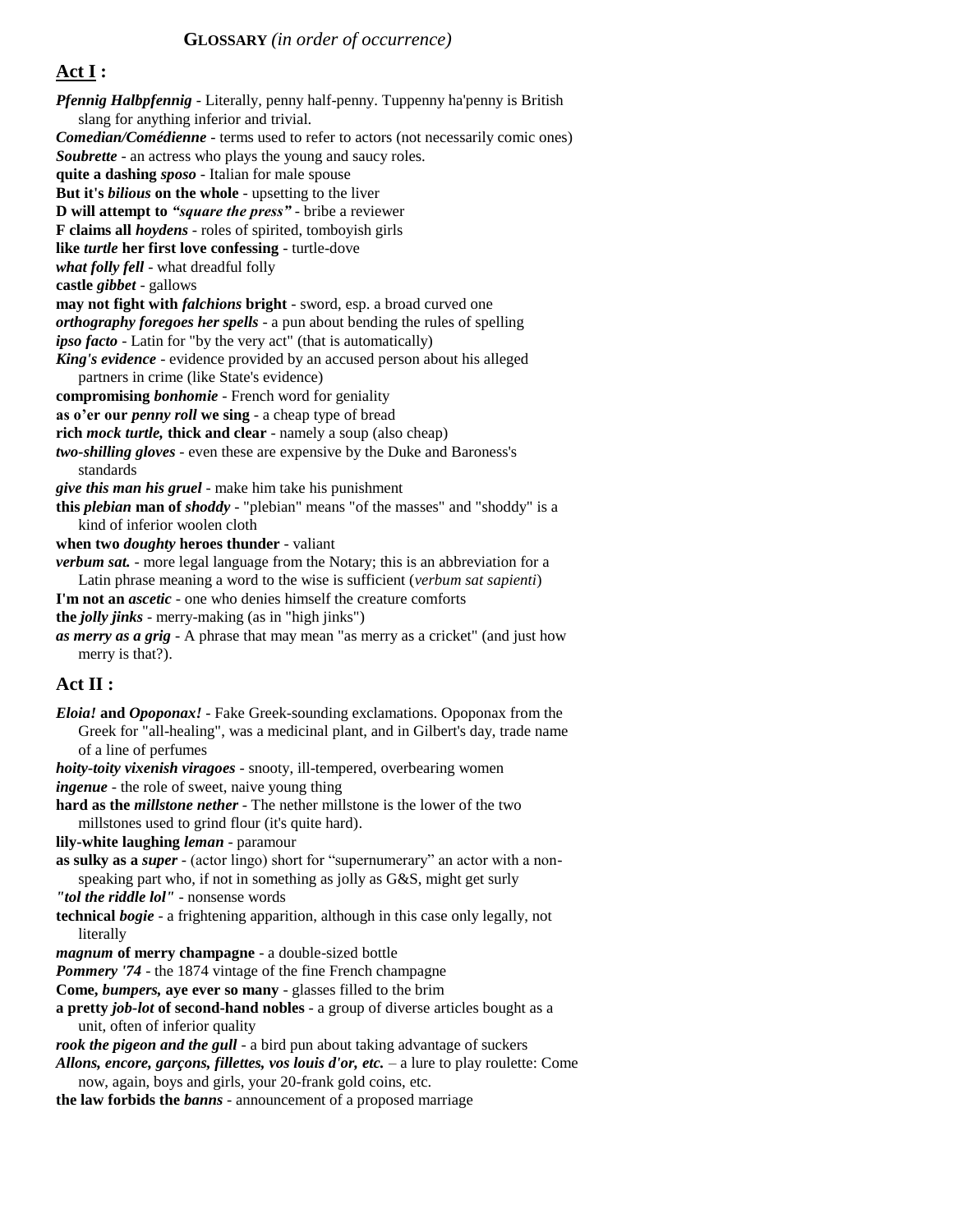# **Act I :**

*Pfennig Halbpfennig* - Literally, penny half-penny. Tuppenny ha'penny is British slang for anything inferior and trivial. *Comedian/Comédienne* - terms used to refer to actors (not necessarily comic ones) *Soubrette* - an actress who plays the young and saucy roles. **quite a dashing** *sposo* - Italian for male spouse **But it's** *bilious* **on the whole** - upsetting to the liver **D will attempt to** *"square the press"* - bribe a reviewer **F claims all** *hoydens* - roles of spirited, tomboyish girls **like** *turtle* **her first love confessing** - turtle-dove *what folly fell* - what dreadful folly **castle** *gibbet* - gallows **may not fight with** *falchions* **bright** - sword, esp. a broad curved one *orthography foregoes her spells* - a pun about bending the rules of spelling *ipso facto* - Latin for "by the very act" (that is automatically) *King's evidence* - evidence provided by an accused person about his alleged partners in crime (like State's evidence) **compromising** *bonhomie* - French word for geniality **as o'er our** *penny roll* **we sing** - a cheap type of bread **rich** *mock turtle,* **thick and clear** - namely a soup (also cheap) *two-shilling gloves* - even these are expensive by the Duke and Baroness's standards *give this man his gruel* - make him take his punishment **this** *plebian* **man of** *shoddy* - "plebian" means "of the masses" and "shoddy" is a kind of inferior woolen cloth **when two** *doughty* **heroes thunder** - valiant *verbum sat.* - more legal language from the Notary; this is an abbreviation for a Latin phrase meaning a word to the wise is sufficient (*verbum sat sapienti*) **I'm not an** *ascetic* - one who denies himself the creature comforts **the** *jolly jinks* - merry-making (as in "high jinks") *as merry as a grig* - A phrase that may mean "as merry as a cricket" (and just how merry is that?). **Act II :**  *Eloia!* **and** *Opoponax!* - Fake Greek-sounding exclamations. Opoponax from the Greek for "all-healing", was a medicinal plant, and in Gilbert's day, trade name of a line of perfumes *hoity-toity vixenish viragoes* - snooty, ill-tempered, overbearing women *ingenue* - the role of sweet, naive young thing **hard as the** *millstone nether* - The nether millstone is the lower of the two millstones used to grind flour (it's quite hard). **lily-white laughing** *leman* - paramour **as sulky as a** *super* - (actor lingo) short for "supernumerary" an actor with a nonspeaking part who, if not in something as jolly as G&S, might get surly *"tol the riddle lol"* - nonsense words **technical** *bogie* - a frightening apparition, although in this case only legally, not literally *magnum* **of merry champagne** - a double-sized bottle *Pommery '74 - the 1874 vintage of the fine French champagne* **Come,** *bumpers,* **aye ever so many** - glasses filled to the brim **a pretty** *job-lot* **of second-hand nobles** - a group of diverse articles bought as a unit, often of inferior quality *rook the pigeon and the gull* - a bird pun about taking advantage of suckers *Allons, encore, garcons, fillettes, vos louis d'or, etc. – a lure to play roulette: Come* now, again, boys and girls, your 20-frank gold coins, etc.

**the law forbids the** *banns* - announcement of a proposed marriage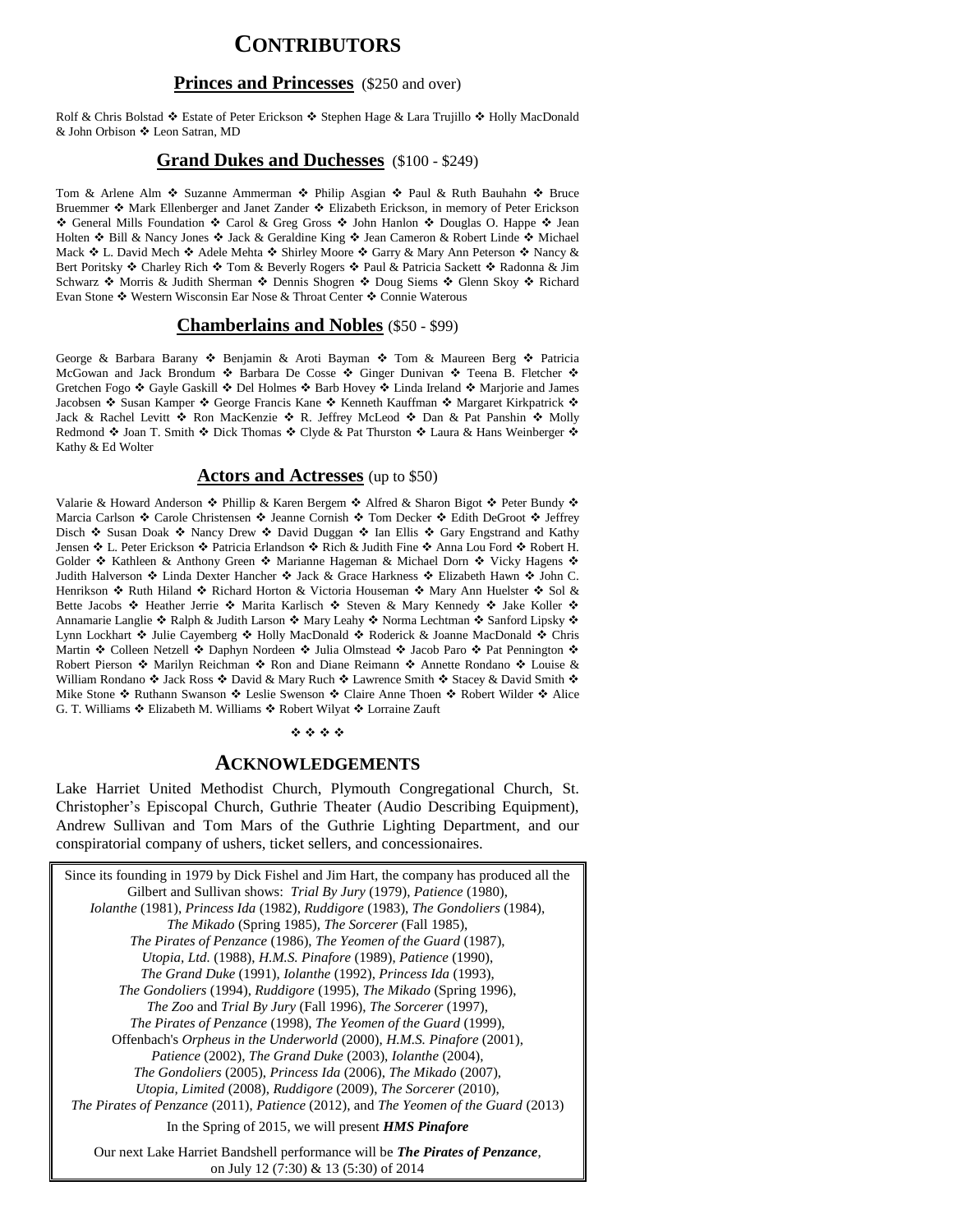# **CONTRIBUTORS**

## **Princes and Princesses** (\$250 and over)

Rolf & Chris Bolstad  $\clubsuit$  Estate of Peter Erickson  $\clubsuit$  Stephen Hage & Lara Trujillo  $\clubsuit$  Holly MacDonald & John Orbison ❖ Leon Satran, MD

### **Grand Dukes and Duchesses** (\$100 - \$249)

Tom & Arlene Alm  $\bullet$  Suzanne Ammerman  $\bullet$  Philip Asgian  $\bullet$  Paul & Ruth Bauhahn  $\bullet$  Bruce Bruemmer  $\cdot$  Mark Ellenberger and Janet Zander  $\cdot$  Elizabeth Erickson, in memory of Peter Erickson \* General Mills Foundation \* Carol & Greg Gross \* John Hanlon \* Douglas O. Happe \* Jean Holten ❖ Bill & Nancy Jones ❖ Jack & Geraldine King ❖ Jean Cameron & Robert Linde ❖ Michael Mack  $\cdot$  L. David Mech  $\cdot$  Adele Mehta  $\cdot$  Shirley Moore  $\cdot$  Garry & Mary Ann Peterson  $\cdot$  Nancy & Bert Poritsky ❖ Charley Rich ❖ Tom & Beverly Rogers ❖ Paul & Patricia Sackett ❖ Radonna & Jim Schwarz  $\cdot$  Morris & Judith Sherman  $\cdot$  Dennis Shogren  $\cdot$  Doug Siems  $\cdot$  Glenn Skoy  $\cdot$  Richard Evan Stone ❖ Western Wisconsin Ear Nose & Throat Center ❖ Connie Waterous

# **Chamberlains and Nobles** (\$50 - \$99)

George & Barbara Barany \* Benjamin & Aroti Bayman \* Tom & Maureen Berg \* Patricia McGowan and Jack Brondum  $\div$  Barbara De Cosse  $\div$  Ginger Dunivan  $\div$  Teena B. Fletcher  $\div$ Gretchen Fogo ❖ Gayle Gaskill ❖ Del Holmes ❖ Barb Hovey ❖ Linda Ireland ❖ Marjorie and James Jacobsen ❖ Susan Kamper ❖ George Francis Kane ❖ Kenneth Kauffman ❖ Margaret Kirkpatrick ❖ Jack & Rachel Levitt  $\clubsuit$  Ron MacKenzie  $\clubsuit$  R. Jeffrey McLeod  $\clubsuit$  Dan & Pat Panshin  $\clubsuit$  Molly Redmond  $\cdot$  Joan T. Smith  $\cdot$  Dick Thomas  $\cdot$  Clyde & Pat Thurston  $\cdot$  Laura & Hans Weinberger  $\cdot$ Kathy & Ed Wolter

#### **Actors and Actresses** (up to \$50)

Valarie & Howard Anderson  $\cdot \cdot$  Phillip & Karen Bergem  $\cdot \cdot$  Alfred & Sharon Bigot  $\cdot \cdot$  Peter Bundy  $\cdot \cdot$ Marcia Carlson ❖ Carole Christensen ❖ Jeanne Cornish ❖ Tom Decker ❖ Edith DeGroot ❖ Jeffrey Disch ❖ Susan Doak ❖ Nancy Drew ❖ David Duggan ❖ Ian Ellis ❖ Gary Engstrand and Kathy Jensen ❖ L. Peter Erickson ❖ Patricia Erlandson ❖ Rich & Judith Fine ❖ Anna Lou Ford ❖ Robert H. Golder  $*$  Kathleen & Anthony Green  $*$  Marianne Hageman & Michael Dorn  $*$  Vicky Hagens  $*$ Judith Halverson  $\clubsuit$  Linda Dexter Hancher  $\clubsuit$  Jack & Grace Harkness  $\clubsuit$  Elizabeth Hawn  $\clubsuit$  John C. Henrikson �� Ruth Hiland �� Richard Horton & Victoria Houseman �� Mary Ann Huelster �� Sol & Bette Jacobs ❖ Heather Jerrie ❖ Marita Karlisch ❖ Steven & Mary Kennedy ❖ Jake Koller ❖ Annamarie Langlie  $*$  Ralph & Judith Larson  $*$  Mary Leahy  $*$  Norma Lechtman  $*$  Sanford Lipsky  $*$ Lynn Lockhart ❖ Julie Cayemberg ❖ Holly MacDonald ❖ Roderick & Joanne MacDonald ❖ Chris Martin Colleen Netzell Daphyn Nordeen Julia Olmstead Jacob Paro Pat Pennington Robert Pierson ❖ Marilyn Reichman ❖ Ron and Diane Reimann ❖ Annette Rondano ❖ Louise & William Rondano  $\cdot$  Jack Ross  $\cdot$  David & Mary Ruch  $\cdot$  Lawrence Smith  $\cdot$  Stacey & David Smith  $\cdot$ Mike Stone ❖ Ruthann Swanson ❖ Leslie Swenson ❖ Claire Anne Thoen ❖ Robert Wilder ❖ Alice G. T. Williams ❖ Elizabeth M. Williams ❖ Robert Wilyat ❖ Lorraine Zauft

#### \*\*\*\*

#### **ACKNOWLEDGEMENTS**

Lake Harriet United Methodist Church, Plymouth Congregational Church, St. Christopher's Episcopal Church, Guthrie Theater (Audio Describing Equipment), Andrew Sullivan and Tom Mars of the Guthrie Lighting Department, and our conspiratorial company of ushers, ticket sellers, and concessionaires.

Since its founding in 1979 by Dick Fishel and Jim Hart, the company has produced all the Gilbert and Sullivan shows: *Trial By Jury* (1979), *Patience* (1980), *Iolanthe* (1981), *Princess Ida* (1982), *Ruddigore* (1983), *The Gondoliers* (1984), *The Mikado* (Spring 1985), *The Sorcerer* (Fall 1985), *The Pirates of Penzance* (1986), *The Yeomen of the Guard* (1987), *Utopia, Ltd.* (1988), *H.M.S. Pinafore* (1989), *Patience* (1990), *The Grand Duke* (1991), *Iolanthe* (1992), *Princess Ida* (1993), *The Gondoliers* (1994), *Ruddigore* (1995), *The Mikado* (Spring 1996), *The Zoo* and *Trial By Jury* (Fall 1996), *The Sorcerer* (1997), *The Pirates of Penzance* (1998), *The Yeomen of the Guard* (1999), Offenbach's *Orpheus in the Underworld* (2000), *H.M.S. Pinafore* (2001), *Patience* (2002), *The Grand Duke* (2003), *Iolanthe* (2004), *The Gondoliers* (2005), *Princess Ida* (2006), *The Mikado* (2007), *Utopia, Limited* (2008), *Ruddigore* (2009), *The Sorcerer* (2010), *The Pirates of Penzance* (2011), *Patience* (2012), and *The Yeomen of the Guard* (2013) In the Spring of 2015, we will present *HMS Pinafore* Our next Lake Harriet Bandshell performance will be *The Pirates of Penzance*,

on July 12 (7:30) & 13 (5:30) of 2014